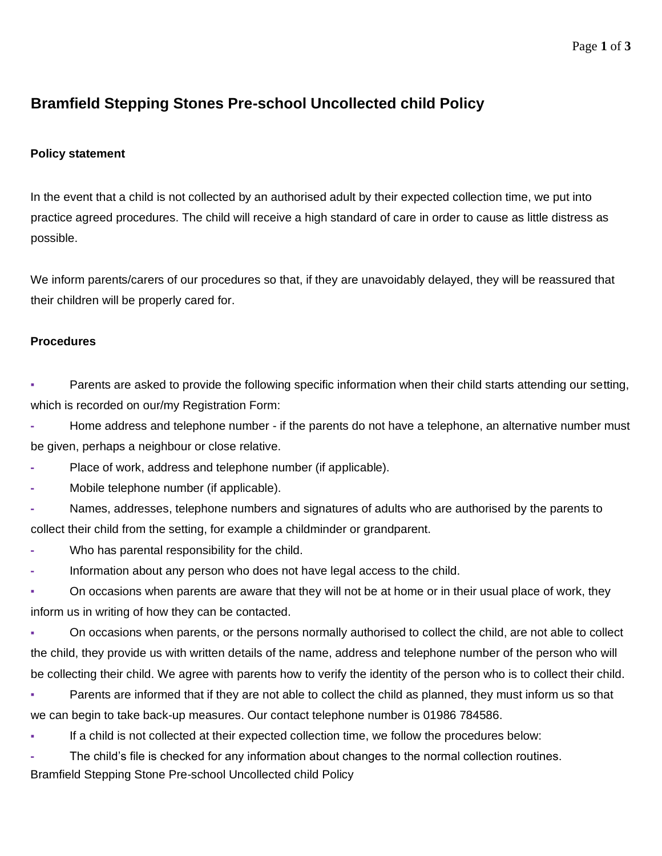### Page **1** of **3**

# **Bramfield Stepping Stones Pre-school Uncollected child Policy**

## **Policy statement**

In the event that a child is not collected by an authorised adult by their expected collection time, we put into practice agreed procedures. The child will receive a high standard of care in order to cause as little distress as possible.

We inform parents/carers of our procedures so that, if they are unavoidably delayed, they will be reassured that their children will be properly cared for.

### **Procedures**

**• Parents are asked to provide the following specific information when their child starts attending our setting,** which is recorded on our/my Registration Form:

**-** Home address and telephone number - if the parents do not have a telephone, an alternative number must be given, perhaps a neighbour or close relative.

**-** Place of work, address and telephone number (if applicable).

**-** Mobile telephone number (if applicable).

**-** Names, addresses, telephone numbers and signatures of adults who are authorised by the parents to collect their child from the setting, for example a childminder or grandparent.

- **-** Who has parental responsibility for the child.
- **-** Information about any person who does not have legal access to the child.
- On occasions when parents are aware that they will not be at home or in their usual place of work, they inform us in writing of how they can be contacted.

**▪** On occasions when parents, or the persons normally authorised to collect the child, are not able to collect the child, they provide us with written details of the name, address and telephone number of the person who will be collecting their child. We agree with parents how to verify the identity of the person who is to collect their child.

Parents are informed that if they are not able to collect the child as planned, they must inform us so that we can begin to take back-up measures. Our contact telephone number is 01986 784586.

**▪** If a child is not collected at their expected collection time, we follow the procedures below:

Bramfield Stepping Stone Pre-school Uncollected child Policy **-** The child's file is checked for any information about changes to the normal collection routines.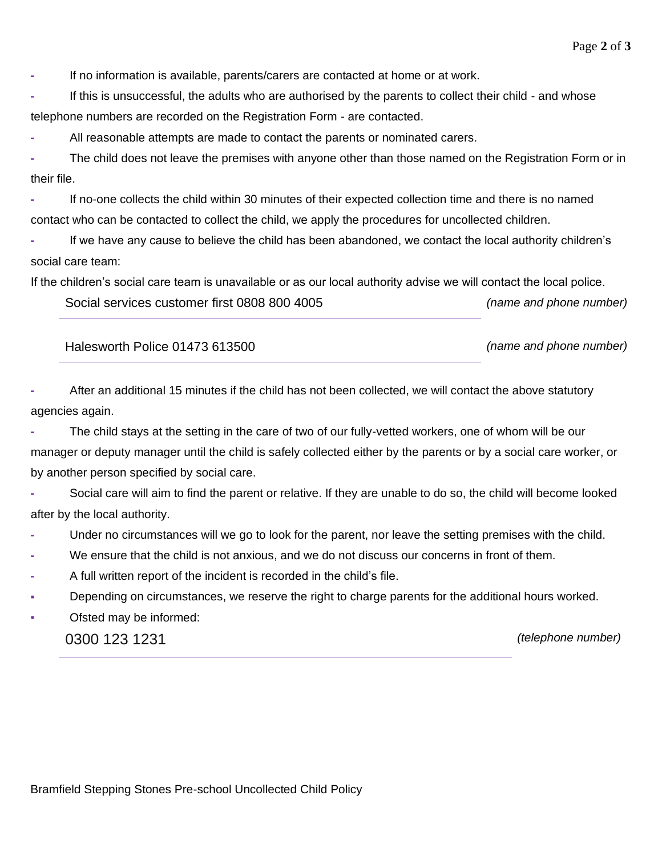**-** If no information is available, parents/carers are contacted at home or at work.

**-** If this is unsuccessful, the adults who are authorised by the parents to collect their child - and whose telephone numbers are recorded on the Registration Form - are contacted.

**-** All reasonable attempts are made to contact the parents or nominated carers.

**-** The child does not leave the premises with anyone other than those named on the Registration Form or in their file.

**-** If no-one collects the child within 30 minutes of their expected collection time and there is no named contact who can be contacted to collect the child, we apply the procedures for uncollected children.

**-** If we have any cause to believe the child has been abandoned, we contact the local authority children's social care team:

If the children's social care team is unavailable or as our local authority advise we will contact the local police.

Social services customer first 0808 800 4005 *(name and phone number)*

Halesworth Police 01473 613500 *(name and phone number)*

**-** After an additional 15 minutes if the child has not been collected, we will contact the above statutory agencies again.

**-** The child stays at the setting in the care of two of our fully-vetted workers, one of whom will be our manager or deputy manager until the child is safely collected either by the parents or by a social care worker, or by another person specified by social care.

**-** Social care will aim to find the parent or relative. If they are unable to do so, the child will become looked after by the local authority.

- **-** Under no circumstances will we go to look for the parent, nor leave the setting premises with the child.
- **-** We ensure that the child is not anxious, and we do not discuss our concerns in front of them.
- **-** A full written report of the incident is recorded in the child's file.
- Depending on circumstances, we reserve the right to charge parents for the additional hours worked.
- Ofsted may be informed:

0300 123 1231 *(telephone number)*